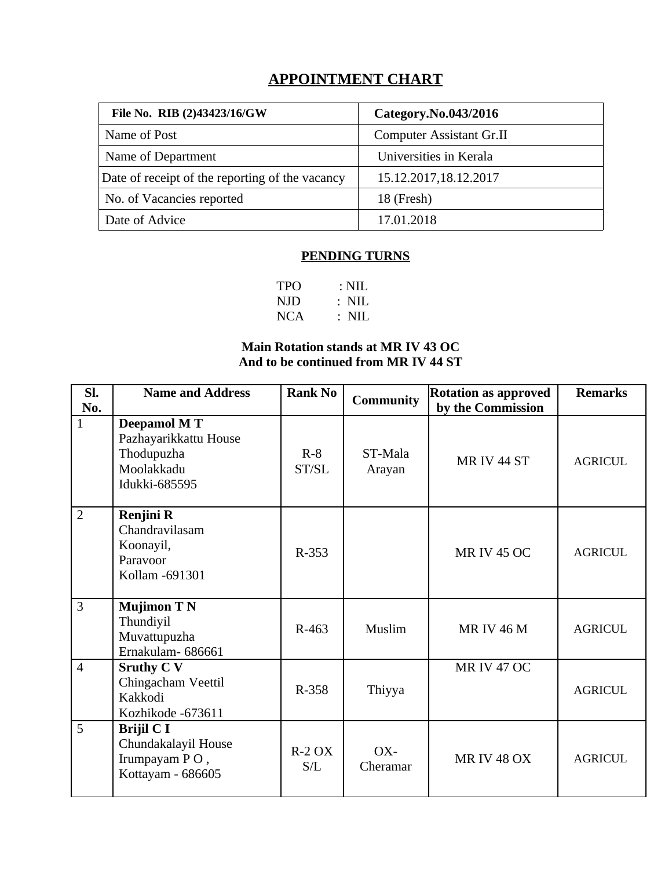# **APPOINTMENT CHART**

| File No. RIB (2)43423/16/GW                     | Category.No.043/2016            |
|-------------------------------------------------|---------------------------------|
| Name of Post                                    | <b>Computer Assistant Gr.II</b> |
| Name of Department                              | Universities in Kerala          |
| Date of receipt of the reporting of the vacancy | 15.12.2017,18.12.2017           |
| No. of Vacancies reported                       | 18 (Fresh)                      |
| Date of Advice                                  | 17.01.2018                      |

#### **PENDING TURNS**

| <b>TPO</b> | $: \mathrm{NIL}$         |
|------------|--------------------------|
| NJD        | $: \mathbb{N}\mathbb{L}$ |
| <b>NCA</b> | $\therefore$ NIL         |

### **Main Rotation stands at MR IV 43 OC And to be continued from MR IV 44 ST**

| Sl.<br>No.     | <b>Name and Address</b>                                                                  | <b>Rank No</b> | <b>Community</b>  | <b>Rotation as approved</b><br>by the Commission | <b>Remarks</b> |
|----------------|------------------------------------------------------------------------------------------|----------------|-------------------|--------------------------------------------------|----------------|
| $\mathbf{1}$   | <b>Deepamol MT</b><br>Pazhayarikkattu House<br>Thodupuzha<br>Moolakkadu<br>Idukki-685595 | $R-8$<br>ST/SL | ST-Mala<br>Arayan | MR IV 44 ST                                      | <b>AGRICUL</b> |
| $\overline{2}$ | <b>Renjini R</b><br>Chandravilasam<br>Koonayil,<br>Paravoor<br>Kollam -691301            | R-353          |                   | <b>MR IV 45 OC</b>                               | <b>AGRICUL</b> |
| 3              | <b>Mujimon T N</b><br>Thundiyil<br>Muvattupuzha<br>Ernakulam-686661                      | R-463          | Muslim            | <b>MRIV 46 M</b>                                 | <b>AGRICUL</b> |
| $\overline{4}$ | <b>Sruthy C V</b><br>Chingacham Veettil<br>Kakkodi<br>Kozhikode -673611                  | R-358          | Thiyya            | <b>MR IV 47 OC</b>                               | <b>AGRICUL</b> |
| 5              | <b>Brijil C I</b><br>Chundakalayil House<br>Irumpayam PO,<br>Kottayam - 686605           | $R-2OX$<br>S/L | OX-<br>Cheramar   | <b>MR IV 48 OX</b>                               | <b>AGRICUL</b> |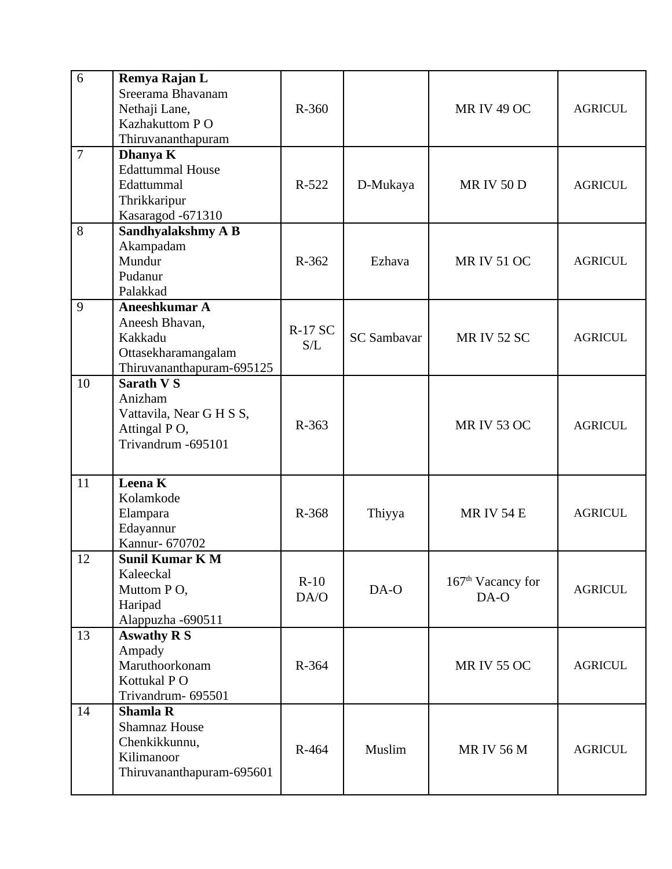| 6              | Remya Rajan L<br>Sreerama Bhavanam<br>Nethaji Lane,<br>Kazhakuttom PO<br>Thiruvananthapuram         | R-360                 |                    | <b>MR IV 49 OC</b>          | <b>AGRICUL</b> |
|----------------|-----------------------------------------------------------------------------------------------------|-----------------------|--------------------|-----------------------------|----------------|
| $\overline{7}$ | Dhanya K<br><b>Edattummal House</b><br>Edattummal<br>Thrikkaripur<br>Kasaragod -671310              | R-522                 | D-Mukaya           | <b>MRIV50D</b>              | <b>AGRICUL</b> |
| 8              | Sandhyalakshmy A B<br>Akampadam<br>Mundur<br>Pudanur<br>Palakkad                                    | R-362                 | Ezhava             | <b>MR IV 51 OC</b>          | <b>AGRICUL</b> |
| 9              | Aneeshkumar A<br>Aneesh Bhavan,<br>Kakkadu<br>Ottasekharamangalam<br>Thiruvananthapuram-695125      | <b>R-17 SC</b><br>S/L | <b>SC Sambavar</b> | <b>MR IV 52 SC</b>          | <b>AGRICUL</b> |
| 10             | <b>Sarath VS</b><br>Anizham<br>Vattavila, Near G H S S,<br>Attingal PO,<br>Trivandrum -695101       | R-363                 |                    | <b>MR IV 53 OC</b>          | <b>AGRICUL</b> |
| 11             | <b>Leena K</b><br>Kolamkode<br>Elampara<br>Edayannur<br>Kannur- 670702                              | R-368                 | Thiyya             | <b>MRIV 54 E</b>            | <b>AGRICUL</b> |
| 12             | <b>Sunil Kumar K M</b><br>Kaleeckal<br>Muttom PO,<br>Haripad<br>Alappuzha -690511                   | $R-10$<br>DA/O        | DA-O               | $167th$ Vacancy for<br>DA-O | <b>AGRICUL</b> |
| 13             | <b>Aswathy R S</b><br>Ampady<br>Maruthoorkonam<br>Kottukal PO<br>Trivandrum- 695501                 | R-364                 |                    | <b>MR IV 55 OC</b>          | <b>AGRICUL</b> |
| 14             | <b>Shamla R</b><br><b>Shamnaz House</b><br>Chenkikkunnu,<br>Kilimanoor<br>Thiruvananthapuram-695601 | R-464                 | Muslim             | <b>MR IV 56 M</b>           | <b>AGRICUL</b> |